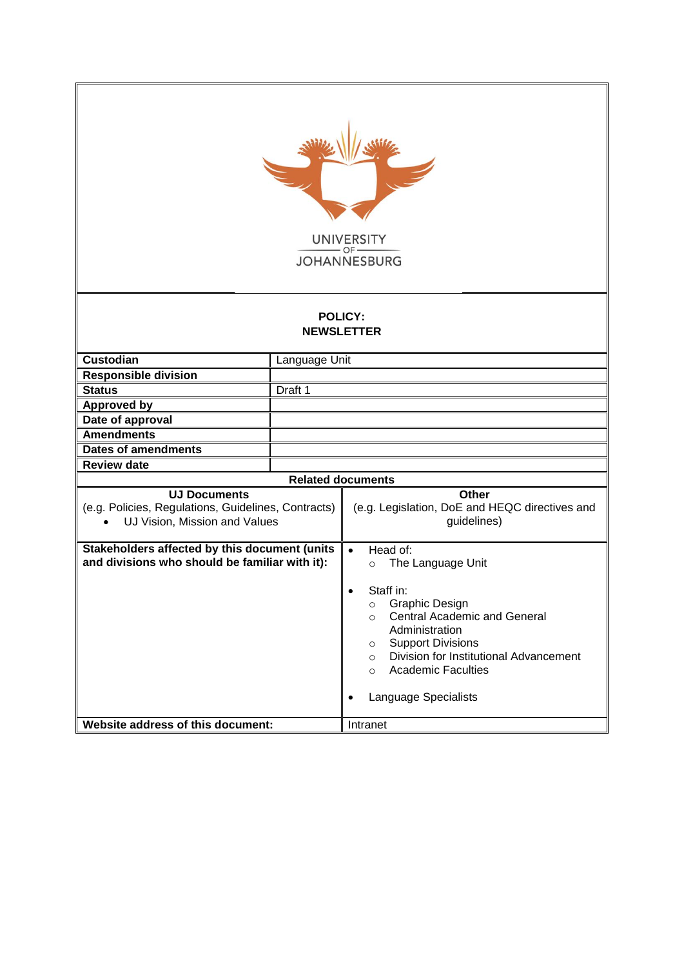| <b>UNIVERSITY</b><br><b>JOHANNESBURG</b>                                                                                                    |               |                                                                                                                                                                                                                                                                                                                                                               |  |  |  |
|---------------------------------------------------------------------------------------------------------------------------------------------|---------------|---------------------------------------------------------------------------------------------------------------------------------------------------------------------------------------------------------------------------------------------------------------------------------------------------------------------------------------------------------------|--|--|--|
| <b>POLICY:</b><br><b>NEWSLETTER</b>                                                                                                         |               |                                                                                                                                                                                                                                                                                                                                                               |  |  |  |
| <b>Custodian</b>                                                                                                                            | Language Unit |                                                                                                                                                                                                                                                                                                                                                               |  |  |  |
| <b>Responsible division</b>                                                                                                                 |               |                                                                                                                                                                                                                                                                                                                                                               |  |  |  |
| <b>Status</b>                                                                                                                               | Draft 1       |                                                                                                                                                                                                                                                                                                                                                               |  |  |  |
| <b>Approved by</b>                                                                                                                          |               |                                                                                                                                                                                                                                                                                                                                                               |  |  |  |
| Date of approval                                                                                                                            |               |                                                                                                                                                                                                                                                                                                                                                               |  |  |  |
| <b>Amendments</b>                                                                                                                           |               |                                                                                                                                                                                                                                                                                                                                                               |  |  |  |
| <b>Dates of amendments</b>                                                                                                                  |               |                                                                                                                                                                                                                                                                                                                                                               |  |  |  |
| <b>Review date</b>                                                                                                                          |               |                                                                                                                                                                                                                                                                                                                                                               |  |  |  |
|                                                                                                                                             |               | <b>Related documents</b>                                                                                                                                                                                                                                                                                                                                      |  |  |  |
| <b>UJ Documents</b><br>(e.g. Policies, Regulations, Guidelines, Contracts)<br>UJ Vision, Mission and Values<br>$\bullet$                    |               | Other<br>(e.g. Legislation, DoE and HEQC directives and<br>guidelines)                                                                                                                                                                                                                                                                                        |  |  |  |
| Stakeholders affected by this document (units<br>and divisions who should be familiar with it):<br><b>Website address of this document:</b> |               | Head of:<br>$\bullet$<br>The Language Unit<br>$\circ$<br>Staff in:<br>٠<br>Graphic Design<br>$\circ$<br><b>Central Academic and General</b><br>$\circ$<br>Administration<br><b>Support Divisions</b><br>$\circ$<br>Division for Institutional Advancement<br>$\circ$<br><b>Academic Faculties</b><br>$\circ$<br>Language Specialists<br>$\bullet$<br>Intranet |  |  |  |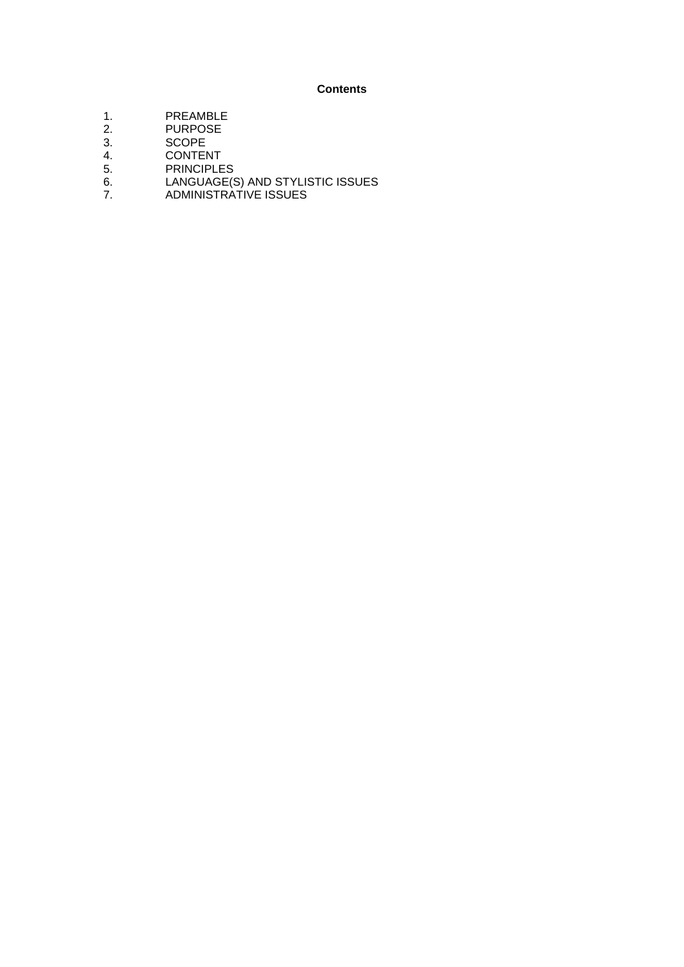## **Contents**

- 1. PREAMBLE<br>2. PURPOSE
- 2. PURPOSE<br>3. SCOPE
- 3. SCOPE<br>4. CONTEI
- **CONTENT**
- 5. PRINCIPLES<br>6. LANGUAGE(S
- 6. LANGUAGE(S) AND STYLISTIC ISSUES
- 7. ADMINISTRATIVE ISSUES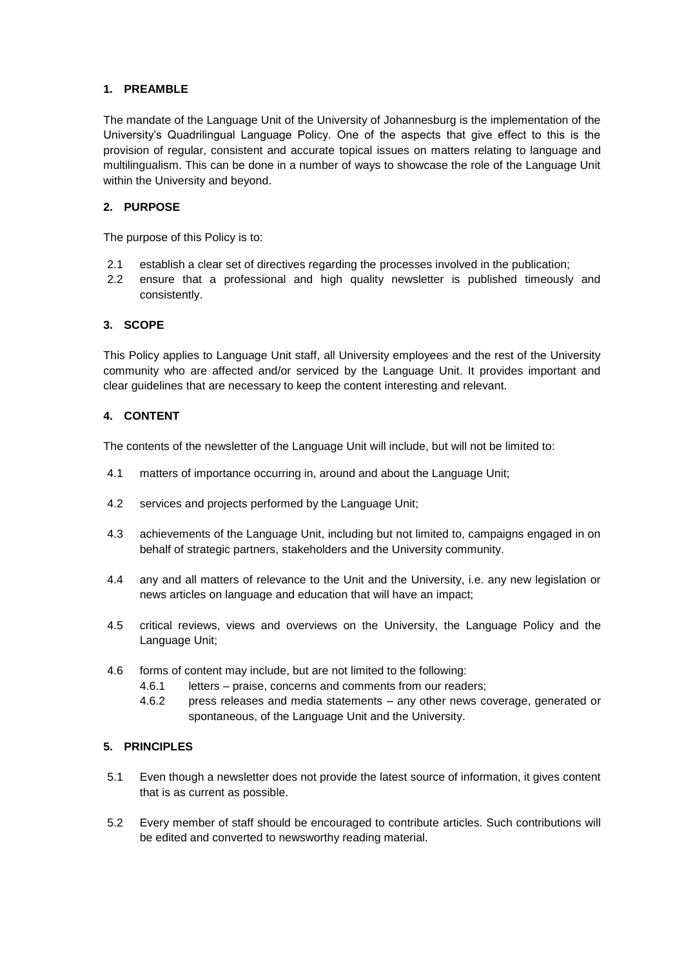## **1. PREAMBLE**

The mandate of the Language Unit of the University of Johannesburg is the implementation of the University's Quadrilingual Language Policy. One of the aspects that give effect to this is the provision of regular, consistent and accurate topical issues on matters relating to language and multilingualism. This can be done in a number of ways to showcase the role of the Language Unit within the University and beyond.

# **2. PURPOSE**

The purpose of this Policy is to:

- 2.1 establish a clear set of directives regarding the processes involved in the publication;
- 2.2 ensure that a professional and high quality newsletter is published timeously and consistently.

# **3. SCOPE**

This Policy applies to Language Unit staff, all University employees and the rest of the University community who are affected and/or serviced by the Language Unit. It provides important and clear guidelines that are necessary to keep the content interesting and relevant.

# **4. CONTENT**

The contents of the newsletter of the Language Unit will include, but will not be limited to:

- 4.1 matters of importance occurring in, around and about the Language Unit;
- 4.2 services and projects performed by the Language Unit;
- 4.3 achievements of the Language Unit, including but not limited to, campaigns engaged in on behalf of strategic partners, stakeholders and the University community.
- 4.4 any and all matters of relevance to the Unit and the University, i.e. any new legislation or news articles on language and education that will have an impact;
- 4.5 critical reviews, views and overviews on the University, the Language Policy and the Language Unit;
- 4.6 forms of content may include, but are not limited to the following:
	- 4.6.1 letters praise, concerns and comments from our readers;
	- 4.6.2 press releases and media statements any other news coverage, generated or spontaneous, of the Language Unit and the University.

#### **5. PRINCIPLES**

- 5.1 Even though a newsletter does not provide the latest source of information, it gives content that is as current as possible.
- 5.2 Every member of staff should be encouraged to contribute articles. Such contributions will be edited and converted to newsworthy reading material.